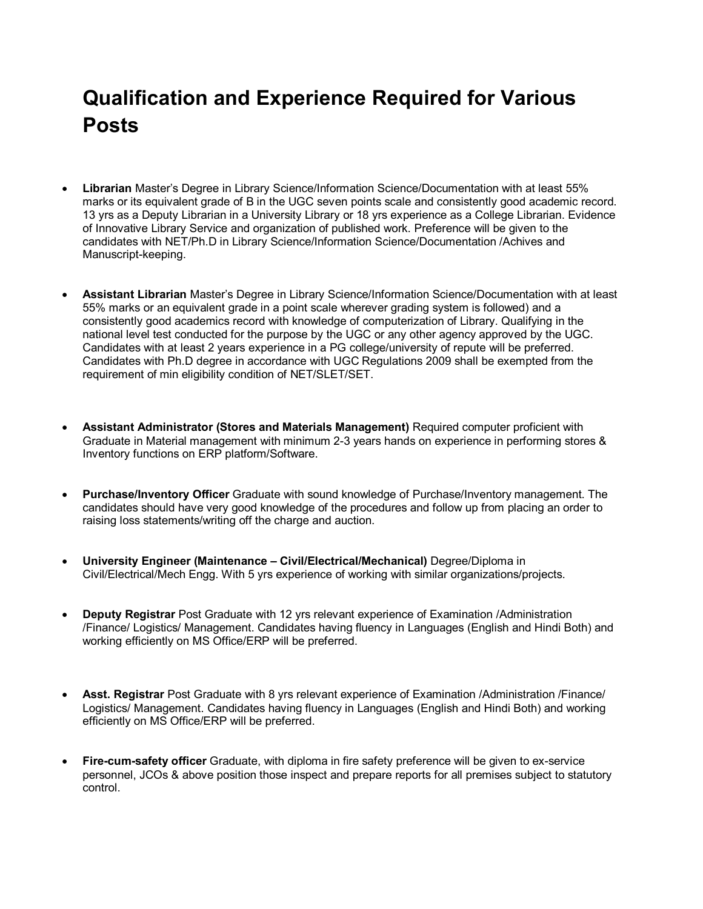## **Qualification and Experience Required for Various Posts**

- **Librarian** Master's Degree in Library Science/Information Science/Documentation with at least 55% marks or its equivalent grade of B in the UGC seven points scale and consistently good academic record. 13 yrs as a Deputy Librarian in a University Library or 18 yrs experience as a College Librarian. Evidence of Innovative Library Service and organization of published work. Preference will be given to the candidates with NET/Ph.D in Library Science/Information Science/Documentation /Achives and Manuscript-keeping.
- **Assistant Librarian** Master's Degree in Library Science/Information Science/Documentation with at least 55% marks or an equivalent grade in a point scale wherever grading system is followed) and a consistently good academics record with knowledge of computerization of Library. Qualifying in the national level test conducted for the purpose by the UGC or any other agency approved by the UGC. Candidates with at least 2 years experience in a PG college/university of repute will be preferred. Candidates with Ph.D degree in accordance with UGC Regulations 2009 shall be exempted from the requirement of min eligibility condition of NET/SLET/SET.
- **Assistant Administrator (Stores and Materials Management)** Required computer proficient with Graduate in Material management with minimum 2-3 years hands on experience in performing stores & Inventory functions on ERP platform/Software.
- **Purchase/Inventory Officer** Graduate with sound knowledge of Purchase/Inventory management. The candidates should have very good knowledge of the procedures and follow up from placing an order to raising loss statements/writing off the charge and auction.
- **University Engineer (Maintenance – Civil/Electrical/Mechanical)** Degree/Diploma in Civil/Electrical/Mech Engg. With 5 yrs experience of working with similar organizations/projects.
- **Deputy Registrar** Post Graduate with 12 yrs relevant experience of Examination /Administration /Finance/ Logistics/ Management. Candidates having fluency in Languages (English and Hindi Both) and working efficiently on MS Office/ERP will be preferred.
- **Asst. Registrar** Post Graduate with 8 yrs relevant experience of Examination /Administration /Finance/ Logistics/ Management. Candidates having fluency in Languages (English and Hindi Both) and working efficiently on MS Office/ERP will be preferred.
- **Fire-cum-safety officer** Graduate, with diploma in fire safety preference will be given to ex-service personnel, JCOs & above position those inspect and prepare reports for all premises subject to statutory control.